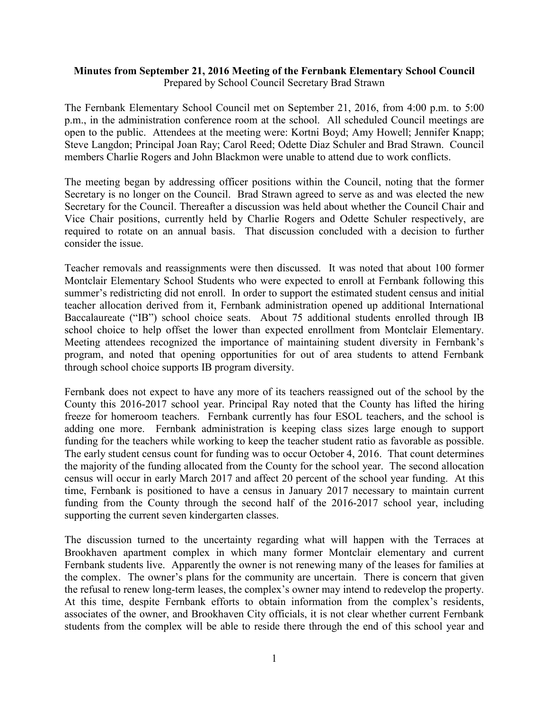## **Minutes from September 21, 2016 Meeting of the Fernbank Elementary School Council** Prepared by School Council Secretary Brad Strawn

The Fernbank Elementary School Council met on September 21, 2016, from 4:00 p.m. to 5:00 p.m., in the administration conference room at the school. All scheduled Council meetings are open to the public. Attendees at the meeting were: Kortni Boyd; Amy Howell; Jennifer Knapp; Steve Langdon; Principal Joan Ray; Carol Reed; Odette Diaz Schuler and Brad Strawn. Council members Charlie Rogers and John Blackmon were unable to attend due to work conflicts.

The meeting began by addressing officer positions within the Council, noting that the former Secretary is no longer on the Council. Brad Strawn agreed to serve as and was elected the new Secretary for the Council. Thereafter a discussion was held about whether the Council Chair and Vice Chair positions, currently held by Charlie Rogers and Odette Schuler respectively, are required to rotate on an annual basis. That discussion concluded with a decision to further consider the issue.

Teacher removals and reassignments were then discussed. It was noted that about 100 former Montclair Elementary School Students who were expected to enroll at Fernbank following this summer's redistricting did not enroll. In order to support the estimated student census and initial teacher allocation derived from it, Fernbank administration opened up additional International Baccalaureate ("IB") school choice seats. About 75 additional students enrolled through IB school choice to help offset the lower than expected enrollment from Montclair Elementary. Meeting attendees recognized the importance of maintaining student diversity in Fernbank's program, and noted that opening opportunities for out of area students to attend Fernbank through school choice supports IB program diversity.

Fernbank does not expect to have any more of its teachers reassigned out of the school by the County this 2016-2017 school year. Principal Ray noted that the County has lifted the hiring freeze for homeroom teachers. Fernbank currently has four ESOL teachers, and the school is adding one more. Fernbank administration is keeping class sizes large enough to support funding for the teachers while working to keep the teacher student ratio as favorable as possible. The early student census count for funding was to occur October 4, 2016. That count determines the majority of the funding allocated from the County for the school year. The second allocation census will occur in early March 2017 and affect 20 percent of the school year funding. At this time, Fernbank is positioned to have a census in January 2017 necessary to maintain current funding from the County through the second half of the 2016-2017 school year, including supporting the current seven kindergarten classes.

The discussion turned to the uncertainty regarding what will happen with the Terraces at Brookhaven apartment complex in which many former Montclair elementary and current Fernbank students live. Apparently the owner is not renewing many of the leases for families at the complex. The owner's plans for the community are uncertain. There is concern that given the refusal to renew long-term leases, the complex's owner may intend to redevelop the property. At this time, despite Fernbank efforts to obtain information from the complex's residents, associates of the owner, and Brookhaven City officials, it is not clear whether current Fernbank students from the complex will be able to reside there through the end of this school year and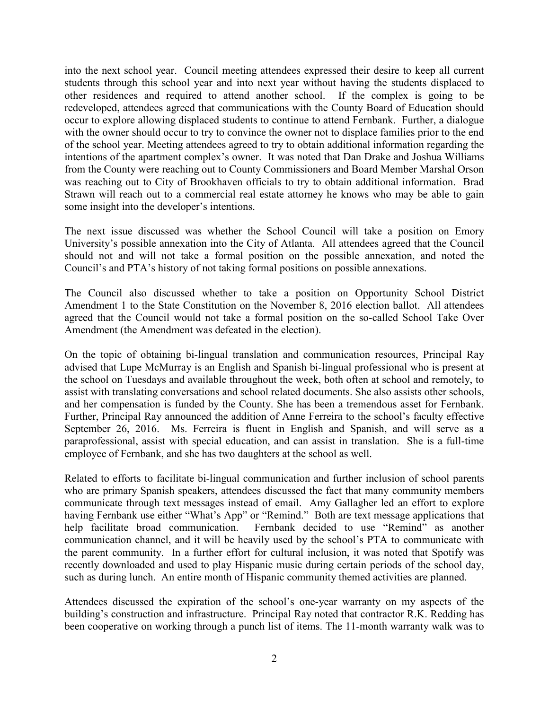into the next school year. Council meeting attendees expressed their desire to keep all current students through this school year and into next year without having the students displaced to other residences and required to attend another school. If the complex is going to be redeveloped, attendees agreed that communications with the County Board of Education should occur to explore allowing displaced students to continue to attend Fernbank. Further, a dialogue with the owner should occur to try to convince the owner not to displace families prior to the end of the school year. Meeting attendees agreed to try to obtain additional information regarding the intentions of the apartment complex's owner. It was noted that Dan Drake and Joshua Williams from the County were reaching out to County Commissioners and Board Member Marshal Orson was reaching out to City of Brookhaven officials to try to obtain additional information. Brad Strawn will reach out to a commercial real estate attorney he knows who may be able to gain some insight into the developer's intentions.

The next issue discussed was whether the School Council will take a position on Emory University's possible annexation into the City of Atlanta. All attendees agreed that the Council should not and will not take a formal position on the possible annexation, and noted the Council's and PTA's history of not taking formal positions on possible annexations.

The Council also discussed whether to take a position on Opportunity School District Amendment 1 to the State Constitution on the November 8, 2016 election ballot. All attendees agreed that the Council would not take a formal position on the so-called School Take Over Amendment (the Amendment was defeated in the election).

On the topic of obtaining bi-lingual translation and communication resources, Principal Ray advised that Lupe McMurray is an English and Spanish bi-lingual professional who is present at the school on Tuesdays and available throughout the week, both often at school and remotely, to assist with translating conversations and school related documents. She also assists other schools, and her compensation is funded by the County. She has been a tremendous asset for Fernbank. Further, Principal Ray announced the addition of Anne Ferreira to the school's faculty effective September 26, 2016. Ms. Ferreira is fluent in English and Spanish, and will serve as a paraprofessional, assist with special education, and can assist in translation. She is a full-time employee of Fernbank, and she has two daughters at the school as well.

Related to efforts to facilitate bi-lingual communication and further inclusion of school parents who are primary Spanish speakers, attendees discussed the fact that many community members communicate through text messages instead of email. Amy Gallagher led an effort to explore having Fernbank use either "What's App" or "Remind." Both are text message applications that help facilitate broad communication. Fernbank decided to use "Remind" as another communication channel, and it will be heavily used by the school's PTA to communicate with the parent community. In a further effort for cultural inclusion, it was noted that Spotify was recently downloaded and used to play Hispanic music during certain periods of the school day, such as during lunch. An entire month of Hispanic community themed activities are planned.

Attendees discussed the expiration of the school's one-year warranty on my aspects of the building's construction and infrastructure. Principal Ray noted that contractor R.K. Redding has been cooperative on working through a punch list of items. The 11-month warranty walk was to